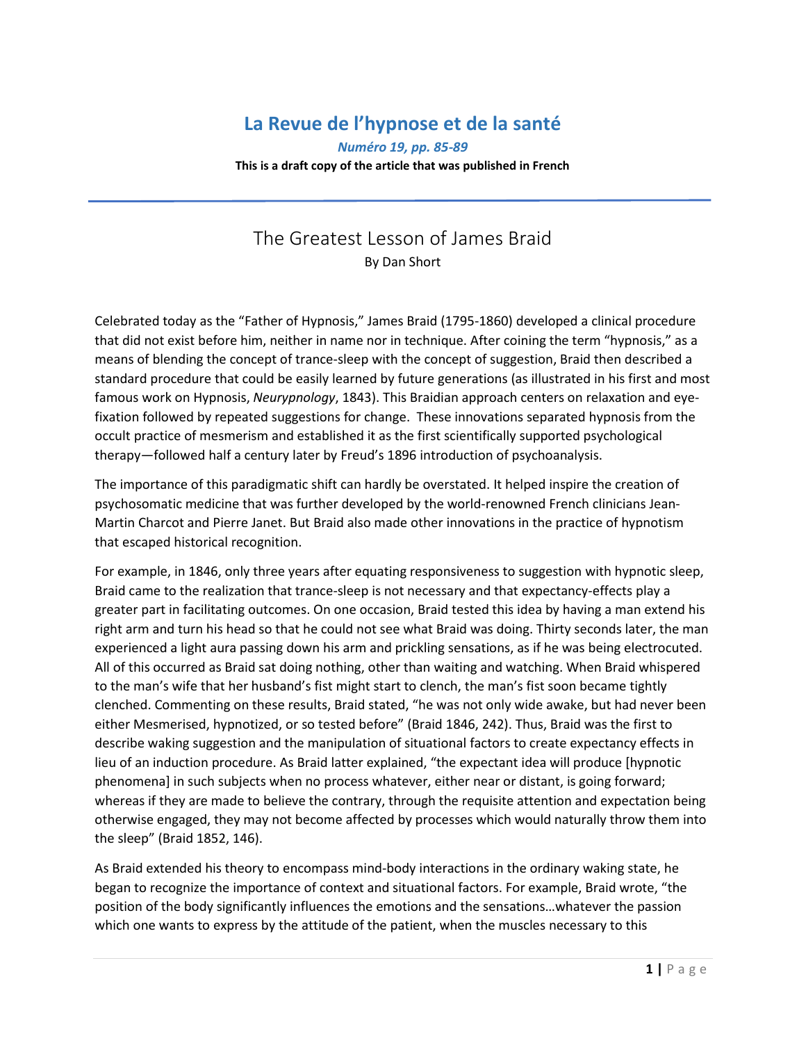## **La Revue de l'hypnose et de la santé**

*Numéro 19, pp. 85-89*

**This is a draft copy of the article that was published in French**

## The Greatest Lesson of James Braid By Dan Short

Celebrated today as the "Father of Hypnosis," James Braid (1795-1860) developed a clinical procedure that did not exist before him, neither in name nor in technique. After coining the term "hypnosis," as a means of blending the concept of trance-sleep with the concept of suggestion, Braid then described a standard procedure that could be easily learned by future generations (as illustrated in his first and most famous work on Hypnosis, *Neurypnology*, 1843). This Braidian approach centers on relaxation and eyefixation followed by repeated suggestions for change. These innovations separated hypnosis from the occult practice of mesmerism and established it as the first scientifically supported psychological therapy—followed half a century later by Freud's 1896 introduction of psychoanalysis.

The importance of this paradigmatic shift can hardly be overstated. It helped inspire the creation of psychosomatic medicine that was further developed by the world-renowned French clinicians Jean-Martin Charcot and Pierre Janet. But Braid also made other innovations in the practice of hypnotism that escaped historical recognition.

For example, in 1846, only three years after equating responsiveness to suggestion with hypnotic sleep, Braid came to the realization that trance-sleep is not necessary and that expectancy-effects play a greater part in facilitating outcomes. On one occasion, Braid tested this idea by having a man extend his right arm and turn his head so that he could not see what Braid was doing. Thirty seconds later, the man experienced a light aura passing down his arm and prickling sensations, as if he was being electrocuted. All of this occurred as Braid sat doing nothing, other than waiting and watching. When Braid whispered to the man's wife that her husband's fist might start to clench, the man's fist soon became tightly clenched. Commenting on these results, Braid stated, "he was not only wide awake, but had never been either Mesmerised, hypnotized, or so tested before" (Braid 1846, 242). Thus, Braid was the first to describe waking suggestion and the manipulation of situational factors to create expectancy effects in lieu of an induction procedure. As Braid latter explained, "the expectant idea will produce [hypnotic phenomena] in such subjects when no process whatever, either near or distant, is going forward; whereas if they are made to believe the contrary, through the requisite attention and expectation being otherwise engaged, they may not become affected by processes which would naturally throw them into the sleep" (Braid 1852, 146).

As Braid extended his theory to encompass mind-body interactions in the ordinary waking state, he began to recognize the importance of context and situational factors. For example, Braid wrote, "the position of the body significantly influences the emotions and the sensations…whatever the passion which one wants to express by the attitude of the patient, when the muscles necessary to this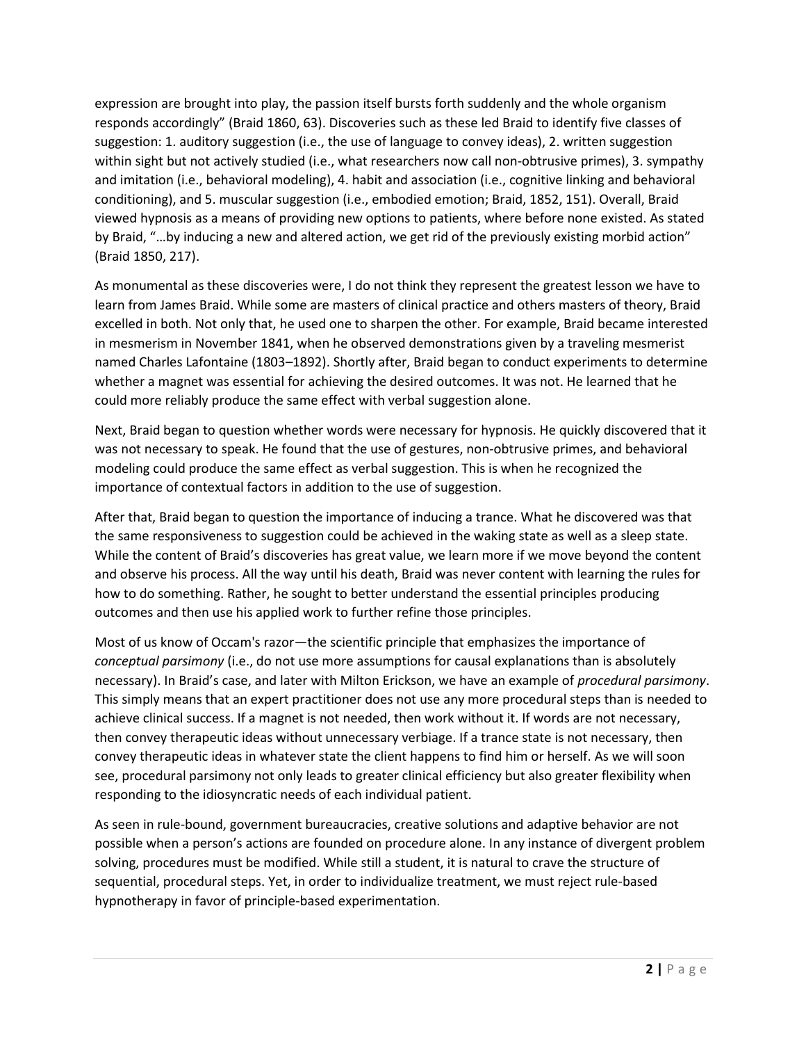expression are brought into play, the passion itself bursts forth suddenly and the whole organism responds accordingly" (Braid 1860, 63). Discoveries such as these led Braid to identify five classes of suggestion: 1. auditory suggestion (i.e., the use of language to convey ideas), 2. written suggestion within sight but not actively studied (i.e., what researchers now call non-obtrusive primes), 3. sympathy and imitation (i.e., behavioral modeling), 4. habit and association (i.e., cognitive linking and behavioral conditioning), and 5. muscular suggestion (i.e., embodied emotion; Braid, 1852, 151). Overall, Braid viewed hypnosis as a means of providing new options to patients, where before none existed. As stated by Braid, "…by inducing a new and altered action, we get rid of the previously existing morbid action" (Braid 1850, 217).

As monumental as these discoveries were, I do not think they represent the greatest lesson we have to learn from James Braid. While some are masters of clinical practice and others masters of theory, Braid excelled in both. Not only that, he used one to sharpen the other. For example, Braid became interested in mesmerism in November 1841, when he observed demonstrations given by a traveling mesmerist named Charles Lafontaine (1803–1892). Shortly after, Braid began to conduct experiments to determine whether a magnet was essential for achieving the desired outcomes. It was not. He learned that he could more reliably produce the same effect with verbal suggestion alone.

Next, Braid began to question whether words were necessary for hypnosis. He quickly discovered that it was not necessary to speak. He found that the use of gestures, non-obtrusive primes, and behavioral modeling could produce the same effect as verbal suggestion. This is when he recognized the importance of contextual factors in addition to the use of suggestion.

After that, Braid began to question the importance of inducing a trance. What he discovered was that the same responsiveness to suggestion could be achieved in the waking state as well as a sleep state. While the content of Braid's discoveries has great value, we learn more if we move beyond the content and observe his process. All the way until his death, Braid was never content with learning the rules for how to do something. Rather, he sought to better understand the essential principles producing outcomes and then use his applied work to further refine those principles.

Most of us know of Occam's razor—the scientific principle that emphasizes the importance of *conceptual parsimony* (i.e., do not use more assumptions for causal explanations than is absolutely necessary). In Braid's case, and later with Milton Erickson, we have an example of *procedural parsimony*. This simply means that an expert practitioner does not use any more procedural steps than is needed to achieve clinical success. If a magnet is not needed, then work without it. If words are not necessary, then convey therapeutic ideas without unnecessary verbiage. If a trance state is not necessary, then convey therapeutic ideas in whatever state the client happens to find him or herself. As we will soon see, procedural parsimony not only leads to greater clinical efficiency but also greater flexibility when responding to the idiosyncratic needs of each individual patient.

As seen in rule-bound, government bureaucracies, creative solutions and adaptive behavior are not possible when a person's actions are founded on procedure alone. In any instance of divergent problem solving, procedures must be modified. While still a student, it is natural to crave the structure of sequential, procedural steps. Yet, in order to individualize treatment, we must reject rule-based hypnotherapy in favor of principle-based experimentation.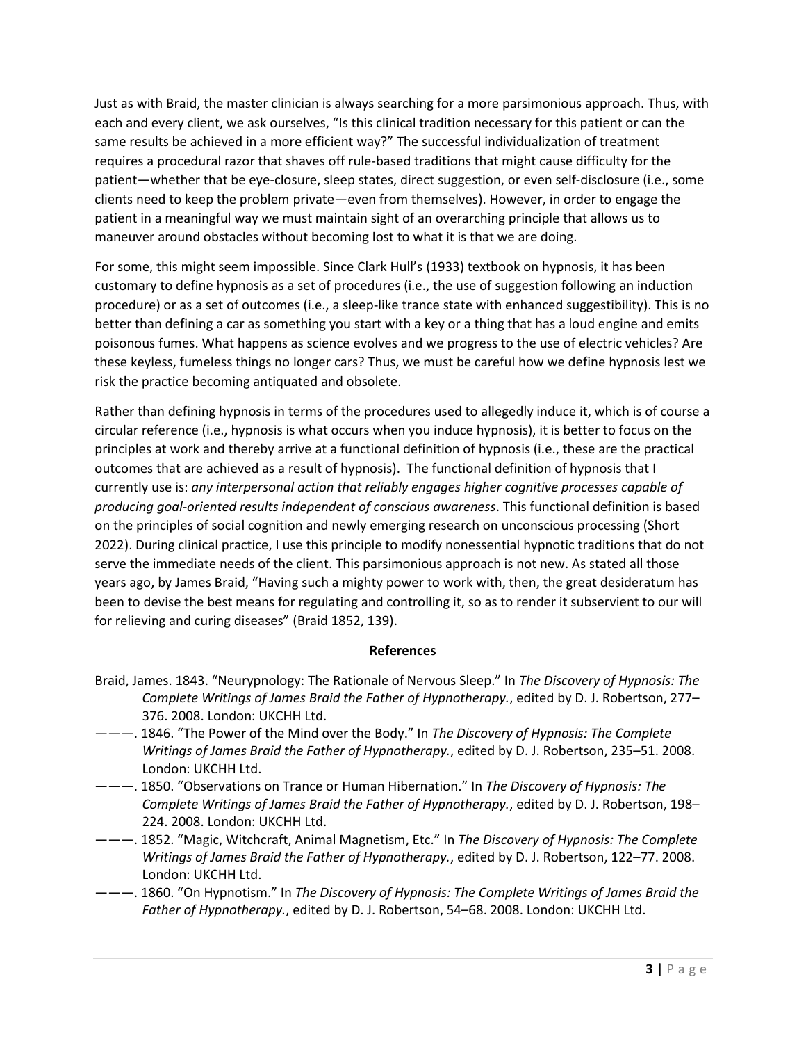Just as with Braid, the master clinician is always searching for a more parsimonious approach. Thus, with each and every client, we ask ourselves, "Is this clinical tradition necessary for this patient or can the same results be achieved in a more efficient way?" The successful individualization of treatment requires a procedural razor that shaves off rule-based traditions that might cause difficulty for the patient—whether that be eye-closure, sleep states, direct suggestion, or even self-disclosure (i.e., some clients need to keep the problem private—even from themselves). However, in order to engage the patient in a meaningful way we must maintain sight of an overarching principle that allows us to maneuver around obstacles without becoming lost to what it is that we are doing.

For some, this might seem impossible. Since Clark Hull's (1933) textbook on hypnosis, it has been customary to define hypnosis as a set of procedures (i.e., the use of suggestion following an induction procedure) or as a set of outcomes (i.e., a sleep-like trance state with enhanced suggestibility). This is no better than defining a car as something you start with a key or a thing that has a loud engine and emits poisonous fumes. What happens as science evolves and we progress to the use of electric vehicles? Are these keyless, fumeless things no longer cars? Thus, we must be careful how we define hypnosis lest we risk the practice becoming antiquated and obsolete.

Rather than defining hypnosis in terms of the procedures used to allegedly induce it, which is of course a circular reference (i.e., hypnosis is what occurs when you induce hypnosis), it is better to focus on the principles at work and thereby arrive at a functional definition of hypnosis (i.e., these are the practical outcomes that are achieved as a result of hypnosis). The functional definition of hypnosis that I currently use is: *any interpersonal action that reliably engages higher cognitive processes capable of producing goal-oriented results independent of conscious awareness*. This functional definition is based on the principles of social cognition and newly emerging research on unconscious processing (Short 2022). During clinical practice, I use this principle to modify nonessential hypnotic traditions that do not serve the immediate needs of the client. This parsimonious approach is not new. As stated all those years ago, by James Braid, "Having such a mighty power to work with, then, the great desideratum has been to devise the best means for regulating and controlling it, so as to render it subservient to our will for relieving and curing diseases" (Braid 1852, 139).

## **References**

- Braid, James. 1843. "Neurypnology: The Rationale of Nervous Sleep." In *The Discovery of Hypnosis: The Complete Writings of James Braid the Father of Hypnotherapy.*, edited by D. J. Robertson, 277– 376. 2008. London: UKCHH Ltd.
- ———. 1846. "The Power of the Mind over the Body." In *The Discovery of Hypnosis: The Complete Writings of James Braid the Father of Hypnotherapy.*, edited by D. J. Robertson, 235–51. 2008. London: UKCHH Ltd.
- ———. 1850. "Observations on Trance or Human Hibernation." In *The Discovery of Hypnosis: The Complete Writings of James Braid the Father of Hypnotherapy.*, edited by D. J. Robertson, 198– 224. 2008. London: UKCHH Ltd.
- ———. 1852. "Magic, Witchcraft, Animal Magnetism, Etc." In *The Discovery of Hypnosis: The Complete Writings of James Braid the Father of Hypnotherapy.*, edited by D. J. Robertson, 122–77. 2008. London: UKCHH Ltd.
- ———. 1860. "On Hypnotism." In *The Discovery of Hypnosis: The Complete Writings of James Braid the Father of Hypnotherapy.*, edited by D. J. Robertson, 54–68. 2008. London: UKCHH Ltd.